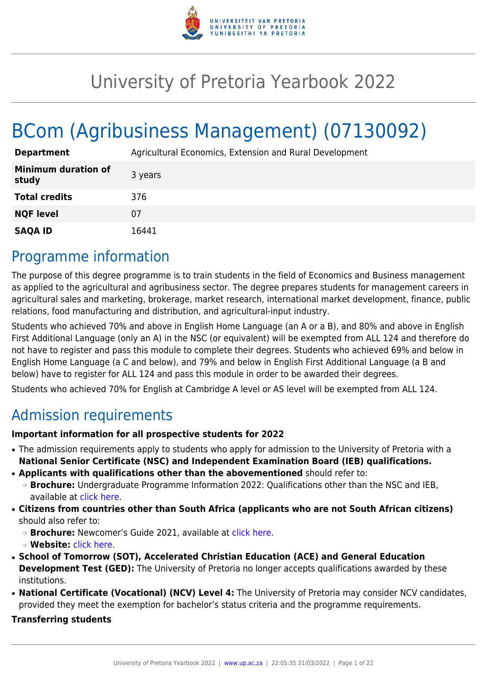

# University of Pretoria Yearbook 2022

# BCom (Agribusiness Management) (07130092)

| <b>Department</b>                   | Agricultural Economics, Extension and Rural Development |
|-------------------------------------|---------------------------------------------------------|
| <b>Minimum duration of</b><br>study | 3 years                                                 |
| <b>Total credits</b>                | 376                                                     |
| <b>NQF level</b>                    | 07                                                      |
| <b>SAQA ID</b>                      | 16441                                                   |

# Programme information

The purpose of this degree programme is to train students in the field of Economics and Business management as applied to the agricultural and agribusiness sector. The degree prepares students for management careers in agricultural sales and marketing, brokerage, market research, international market development, finance, public relations, food manufacturing and distribution, and agricultural-input industry.

Students who achieved 70% and above in English Home Language (an A or a B), and 80% and above in English First Additional Language (only an A) in the NSC (or equivalent) will be exempted from ALL 124 and therefore do not have to register and pass this module to complete their degrees. Students who achieved 69% and below in English Home Language (a C and below), and 79% and below in English First Additional Language (a B and below) have to register for ALL 124 and pass this module in order to be awarded their degrees.

Students who achieved 70% for English at Cambridge A level or AS level will be exempted from ALL 124.

# Admission requirements

# **Important information for all prospective students for 2022**

- The admission requirements apply to students who apply for admission to the University of Pretoria with a **National Senior Certificate (NSC) and Independent Examination Board (IEB) qualifications.**
- **Applicants with qualifications other than the abovementioned** should refer to:
- ❍ **Brochure:** Undergraduate Programme Information 2022: Qualifications other than the NSC and IEB, available at [click here.](https://www.up.ac.za/students/article/2749263/admission-information)
- **Citizens from countries other than South Africa (applicants who are not South African citizens)** should also refer to:
	- ❍ **Brochure:** Newcomer's Guide 2021, available at [click here.](https://www.up.ac.za/students/article/2749263/admission-information)
	- ❍ **Website:** [click here](http://www.up.ac.za/international-cooperation-division).
- **School of Tomorrow (SOT), Accelerated Christian Education (ACE) and General Education Development Test (GED):** The University of Pretoria no longer accepts qualifications awarded by these institutions.
- **National Certificate (Vocational) (NCV) Level 4:** The University of Pretoria may consider NCV candidates, provided they meet the exemption for bachelor's status criteria and the programme requirements.

# **Transferring students**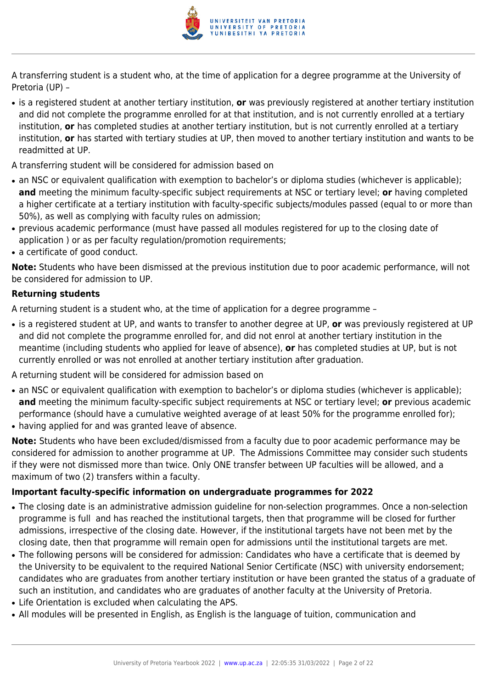

A transferring student is a student who, at the time of application for a degree programme at the University of Pretoria (UP) –

- is a registered student at another tertiary institution, **or** was previously registered at another tertiary institution and did not complete the programme enrolled for at that institution, and is not currently enrolled at a tertiary institution, **or** has completed studies at another tertiary institution, but is not currently enrolled at a tertiary institution, **or** has started with tertiary studies at UP, then moved to another tertiary institution and wants to be readmitted at UP.
- A transferring student will be considered for admission based on
- an NSC or equivalent qualification with exemption to bachelor's or diploma studies (whichever is applicable); **and** meeting the minimum faculty-specific subject requirements at NSC or tertiary level; **or** having completed a higher certificate at a tertiary institution with faculty-specific subjects/modules passed (equal to or more than 50%), as well as complying with faculty rules on admission;
- previous academic performance (must have passed all modules registered for up to the closing date of application ) or as per faculty regulation/promotion requirements;
- a certificate of good conduct.

**Note:** Students who have been dismissed at the previous institution due to poor academic performance, will not be considered for admission to UP.

# **Returning students**

A returning student is a student who, at the time of application for a degree programme –

● is a registered student at UP, and wants to transfer to another degree at UP, **or** was previously registered at UP and did not complete the programme enrolled for, and did not enrol at another tertiary institution in the meantime (including students who applied for leave of absence), **or** has completed studies at UP, but is not currently enrolled or was not enrolled at another tertiary institution after graduation.

A returning student will be considered for admission based on

- an NSC or equivalent qualification with exemption to bachelor's or diploma studies (whichever is applicable); **and** meeting the minimum faculty-specific subject requirements at NSC or tertiary level; **or** previous academic performance (should have a cumulative weighted average of at least 50% for the programme enrolled for);
- having applied for and was granted leave of absence.

**Note:** Students who have been excluded/dismissed from a faculty due to poor academic performance may be considered for admission to another programme at UP. The Admissions Committee may consider such students if they were not dismissed more than twice. Only ONE transfer between UP faculties will be allowed, and a maximum of two (2) transfers within a faculty.

# **Important faculty-specific information on undergraduate programmes for 2022**

- The closing date is an administrative admission guideline for non-selection programmes. Once a non-selection programme is full and has reached the institutional targets, then that programme will be closed for further admissions, irrespective of the closing date. However, if the institutional targets have not been met by the closing date, then that programme will remain open for admissions until the institutional targets are met.
- The following persons will be considered for admission: Candidates who have a certificate that is deemed by the University to be equivalent to the required National Senior Certificate (NSC) with university endorsement; candidates who are graduates from another tertiary institution or have been granted the status of a graduate of such an institution, and candidates who are graduates of another faculty at the University of Pretoria.
- Life Orientation is excluded when calculating the APS.
- All modules will be presented in English, as English is the language of tuition, communication and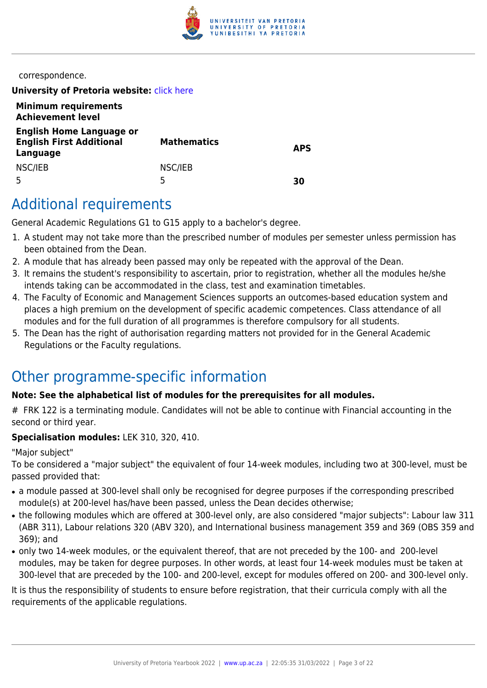

correspondence.

**University of Pretoria website: [click here](http://www.up.ac.za/ems)** 

| <b>Minimum requirements</b><br><b>Achievement level</b>                        |                    |            |
|--------------------------------------------------------------------------------|--------------------|------------|
| <b>English Home Language or</b><br><b>English First Additional</b><br>Language | <b>Mathematics</b> | <b>APS</b> |
| NSC/IEB                                                                        | NSC/IEB<br>5       | 30         |

# Additional requirements

General Academic Regulations G1 to G15 apply to a bachelor's degree.

- 1. A student may not take more than the prescribed number of modules per semester unless permission has been obtained from the Dean.
- 2. A module that has already been passed may only be repeated with the approval of the Dean.
- 3. It remains the student's responsibility to ascertain, prior to registration, whether all the modules he/she intends taking can be accommodated in the class, test and examination timetables.
- 4. The Faculty of Economic and Management Sciences supports an outcomes-based education system and places a high premium on the development of specific academic competences. Class attendance of all modules and for the full duration of all programmes is therefore compulsory for all students.
- 5. The Dean has the right of authorisation regarding matters not provided for in the General Academic Regulations or the Faculty regulations.

# Other programme-specific information

# **Note: See the alphabetical list of modules for the prerequisites for all modules.**

# FRK 122 is a terminating module. Candidates will not be able to continue with Financial accounting in the second or third year.

# **Specialisation modules:** LEK 310, 320, 410.

"Major subject"

To be considered a "major subject" the equivalent of four 14-week modules, including two at 300-level, must be passed provided that:

- a module passed at 300-level shall only be recognised for degree purposes if the corresponding prescribed module(s) at 200-level has/have been passed, unless the Dean decides otherwise;
- the following modules which are offered at 300-level only, are also considered "major subjects": Labour law 311 (ABR 311), Labour relations 320 (ABV 320), and International business management 359 and 369 (OBS 359 and 369); and
- only two 14-week modules, or the equivalent thereof, that are not preceded by the 100- and 200-level modules, may be taken for degree purposes. In other words, at least four 14-week modules must be taken at 300-level that are preceded by the 100- and 200-level, except for modules offered on 200- and 300-level only.

It is thus the responsibility of students to ensure before registration, that their curricula comply with all the requirements of the applicable regulations.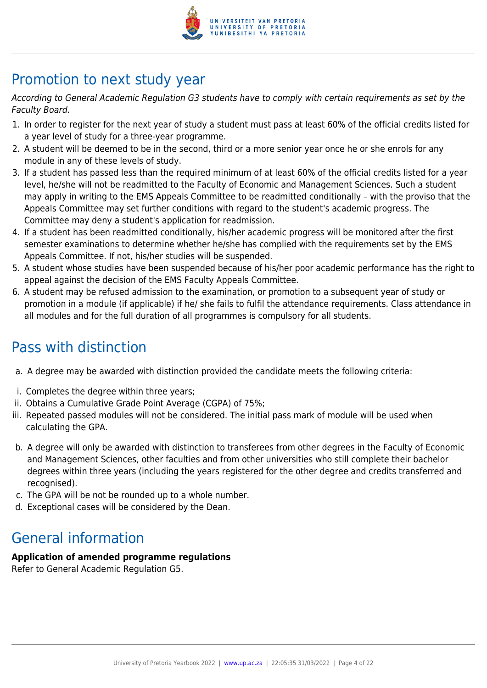

# Promotion to next study year

According to General Academic Regulation G3 students have to comply with certain requirements as set by the Faculty Board.

- 1. In order to register for the next year of study a student must pass at least 60% of the official credits listed for a year level of study for a three-year programme.
- 2. A student will be deemed to be in the second, third or a more senior year once he or she enrols for any module in any of these levels of study.
- 3. If a student has passed less than the required minimum of at least 60% of the official credits listed for a year level, he/she will not be readmitted to the Faculty of Economic and Management Sciences. Such a student may apply in writing to the EMS Appeals Committee to be readmitted conditionally – with the proviso that the Appeals Committee may set further conditions with regard to the student's academic progress. The Committee may deny a student's application for readmission.
- 4. If a student has been readmitted conditionally, his/her academic progress will be monitored after the first semester examinations to determine whether he/she has complied with the requirements set by the EMS Appeals Committee. If not, his/her studies will be suspended.
- 5. A student whose studies have been suspended because of his/her poor academic performance has the right to appeal against the decision of the EMS Faculty Appeals Committee.
- 6. A student may be refused admission to the examination, or promotion to a subsequent year of study or promotion in a module (if applicable) if he/ she fails to fulfil the attendance requirements. Class attendance in all modules and for the full duration of all programmes is compulsory for all students.

# Pass with distinction

- a. A degree may be awarded with distinction provided the candidate meets the following criteria:
- i. Completes the degree within three years;
- ii. Obtains a Cumulative Grade Point Average (CGPA) of 75%;
- iii. Repeated passed modules will not be considered. The initial pass mark of module will be used when calculating the GPA.
- b. A degree will only be awarded with distinction to transferees from other degrees in the Faculty of Economic and Management Sciences, other faculties and from other universities who still complete their bachelor degrees within three years (including the years registered for the other degree and credits transferred and recognised).
- c. The GPA will be not be rounded up to a whole number.
- d. Exceptional cases will be considered by the Dean.

# General information

# **Application of amended programme regulations**

Refer to General Academic Regulation G5.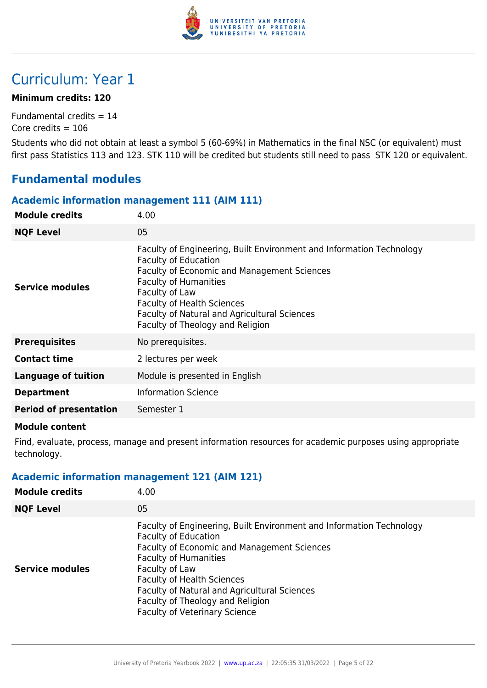

# Curriculum: Year 1

# **Minimum credits: 120**

Fundamental credits  $= 14$ Core credits  $= 106$ 

Students who did not obtain at least a symbol 5 (60-69%) in Mathematics in the final NSC (or equivalent) must first pass Statistics 113 and 123. STK 110 will be credited but students still need to pass STK 120 or equivalent.

# **Fundamental modules**

# **Academic information management 111 (AIM 111)**

| <b>Module credits</b>         | 4.00                                                                                                                                                                                                                                                                                                                          |
|-------------------------------|-------------------------------------------------------------------------------------------------------------------------------------------------------------------------------------------------------------------------------------------------------------------------------------------------------------------------------|
| <b>NQF Level</b>              | 05                                                                                                                                                                                                                                                                                                                            |
| <b>Service modules</b>        | Faculty of Engineering, Built Environment and Information Technology<br><b>Faculty of Education</b><br>Faculty of Economic and Management Sciences<br><b>Faculty of Humanities</b><br>Faculty of Law<br><b>Faculty of Health Sciences</b><br>Faculty of Natural and Agricultural Sciences<br>Faculty of Theology and Religion |
| <b>Prerequisites</b>          | No prerequisites.                                                                                                                                                                                                                                                                                                             |
| <b>Contact time</b>           | 2 lectures per week                                                                                                                                                                                                                                                                                                           |
| <b>Language of tuition</b>    | Module is presented in English                                                                                                                                                                                                                                                                                                |
| <b>Department</b>             | <b>Information Science</b>                                                                                                                                                                                                                                                                                                    |
| <b>Period of presentation</b> | Semester 1                                                                                                                                                                                                                                                                                                                    |
|                               |                                                                                                                                                                                                                                                                                                                               |

### **Module content**

Find, evaluate, process, manage and present information resources for academic purposes using appropriate technology.

# **Academic information management 121 (AIM 121)**

| <b>Module credits</b>  | 4.00                                                                                                                                                                                                                                                                                                                                                                  |
|------------------------|-----------------------------------------------------------------------------------------------------------------------------------------------------------------------------------------------------------------------------------------------------------------------------------------------------------------------------------------------------------------------|
| <b>NQF Level</b>       | 05                                                                                                                                                                                                                                                                                                                                                                    |
| <b>Service modules</b> | Faculty of Engineering, Built Environment and Information Technology<br><b>Faculty of Education</b><br>Faculty of Economic and Management Sciences<br><b>Faculty of Humanities</b><br>Faculty of Law<br><b>Faculty of Health Sciences</b><br>Faculty of Natural and Agricultural Sciences<br>Faculty of Theology and Religion<br><b>Faculty of Veterinary Science</b> |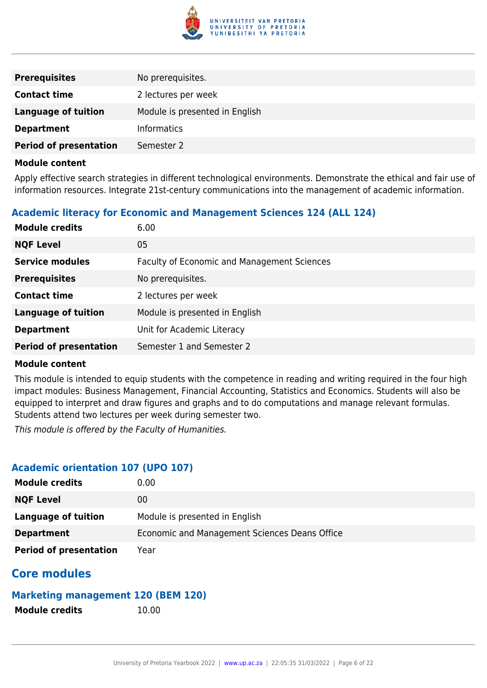

| <b>Prerequisites</b>          | No prerequisites.              |
|-------------------------------|--------------------------------|
| <b>Contact time</b>           | 2 lectures per week            |
| <b>Language of tuition</b>    | Module is presented in English |
| <b>Department</b>             | <b>Informatics</b>             |
| <b>Period of presentation</b> | Semester 2                     |

Apply effective search strategies in different technological environments. Demonstrate the ethical and fair use of information resources. Integrate 21st-century communications into the management of academic information.

# **Academic literacy for Economic and Management Sciences 124 (ALL 124)**

| <b>Module credits</b>         | 6.00                                               |
|-------------------------------|----------------------------------------------------|
| <b>NQF Level</b>              | 05                                                 |
| <b>Service modules</b>        | <b>Faculty of Economic and Management Sciences</b> |
| <b>Prerequisites</b>          | No prerequisites.                                  |
| <b>Contact time</b>           | 2 lectures per week                                |
| <b>Language of tuition</b>    | Module is presented in English                     |
| <b>Department</b>             | Unit for Academic Literacy                         |
| <b>Period of presentation</b> | Semester 1 and Semester 2                          |

### **Module content**

This module is intended to equip students with the competence in reading and writing required in the four high impact modules: Business Management, Financial Accounting, Statistics and Economics. Students will also be equipped to interpret and draw figures and graphs and to do computations and manage relevant formulas. Students attend two lectures per week during semester two.

This module is offered by the Faculty of Humanities.

# **Academic orientation 107 (UPO 107)**

| <b>Module credits</b>         | 0.00                                          |
|-------------------------------|-----------------------------------------------|
| <b>NQF Level</b>              | 00                                            |
| Language of tuition           | Module is presented in English                |
| <b>Department</b>             | Economic and Management Sciences Deans Office |
| <b>Period of presentation</b> | Year                                          |

# **Core modules**

# **Marketing management 120 (BEM 120)**

**Module credits** 10.00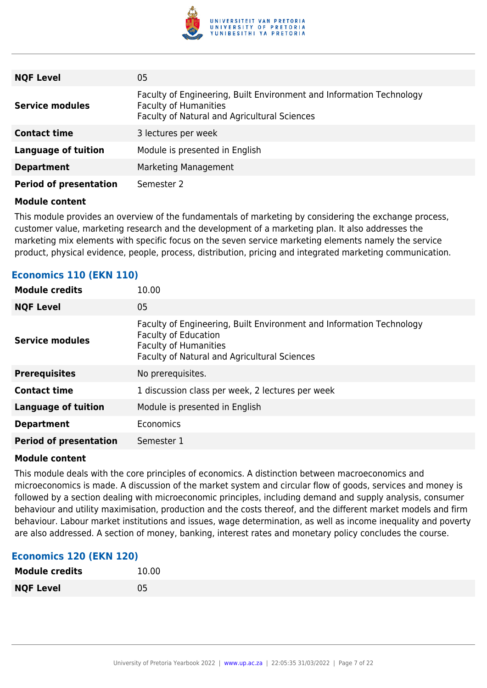

| <b>NQF Level</b>              | 05                                                                                                                                                   |
|-------------------------------|------------------------------------------------------------------------------------------------------------------------------------------------------|
| <b>Service modules</b>        | Faculty of Engineering, Built Environment and Information Technology<br><b>Faculty of Humanities</b><br>Faculty of Natural and Agricultural Sciences |
| <b>Contact time</b>           | 3 lectures per week                                                                                                                                  |
| <b>Language of tuition</b>    | Module is presented in English                                                                                                                       |
| <b>Department</b>             | Marketing Management                                                                                                                                 |
| <b>Period of presentation</b> | Semester 2                                                                                                                                           |

This module provides an overview of the fundamentals of marketing by considering the exchange process, customer value, marketing research and the development of a marketing plan. It also addresses the marketing mix elements with specific focus on the seven service marketing elements namely the service product, physical evidence, people, process, distribution, pricing and integrated marketing communication.

| <b>Module credits</b>         | 10.00                                                                                                                                                                               |
|-------------------------------|-------------------------------------------------------------------------------------------------------------------------------------------------------------------------------------|
| <b>NQF Level</b>              | 05                                                                                                                                                                                  |
| <b>Service modules</b>        | Faculty of Engineering, Built Environment and Information Technology<br><b>Faculty of Education</b><br><b>Faculty of Humanities</b><br>Faculty of Natural and Agricultural Sciences |
| <b>Prerequisites</b>          | No prerequisites.                                                                                                                                                                   |
| <b>Contact time</b>           | 1 discussion class per week, 2 lectures per week                                                                                                                                    |
| <b>Language of tuition</b>    | Module is presented in English                                                                                                                                                      |
| <b>Department</b>             | Economics                                                                                                                                                                           |
| <b>Period of presentation</b> | Semester 1                                                                                                                                                                          |

# **Economics 110 (EKN 110)**

### **Module content**

This module deals with the core principles of economics. A distinction between macroeconomics and microeconomics is made. A discussion of the market system and circular flow of goods, services and money is followed by a section dealing with microeconomic principles, including demand and supply analysis, consumer behaviour and utility maximisation, production and the costs thereof, and the different market models and firm behaviour. Labour market institutions and issues, wage determination, as well as income inequality and poverty are also addressed. A section of money, banking, interest rates and monetary policy concludes the course.

# **Economics 120 (EKN 120)**

| <b>Module credits</b> | 10.00 |
|-----------------------|-------|
| <b>NQF Level</b>      | 05    |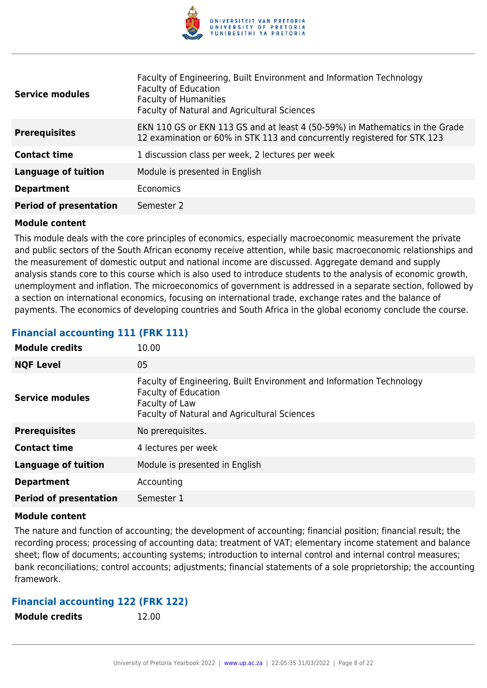

| <b>Service modules</b>        | Faculty of Engineering, Built Environment and Information Technology<br><b>Faculty of Education</b><br><b>Faculty of Humanities</b><br>Faculty of Natural and Agricultural Sciences |
|-------------------------------|-------------------------------------------------------------------------------------------------------------------------------------------------------------------------------------|
| <b>Prerequisites</b>          | EKN 110 GS or EKN 113 GS and at least 4 (50-59%) in Mathematics in the Grade<br>12 examination or 60% in STK 113 and concurrently registered for STK 123                            |
| <b>Contact time</b>           | 1 discussion class per week, 2 lectures per week                                                                                                                                    |
| <b>Language of tuition</b>    | Module is presented in English                                                                                                                                                      |
| <b>Department</b>             | Economics                                                                                                                                                                           |
| <b>Period of presentation</b> | Semester 2                                                                                                                                                                          |

This module deals with the core principles of economics, especially macroeconomic measurement the private and public sectors of the South African economy receive attention, while basic macroeconomic relationships and the measurement of domestic output and national income are discussed. Aggregate demand and supply analysis stands core to this course which is also used to introduce students to the analysis of economic growth, unemployment and inflation. The microeconomics of government is addressed in a separate section, followed by a section on international economics, focusing on international trade, exchange rates and the balance of payments. The economics of developing countries and South Africa in the global economy conclude the course.

# **Financial accounting 111 (FRK 111)**

| <b>Module credits</b>         | 10.00                                                                                                                                                                 |
|-------------------------------|-----------------------------------------------------------------------------------------------------------------------------------------------------------------------|
| <b>NQF Level</b>              | 05                                                                                                                                                                    |
| <b>Service modules</b>        | Faculty of Engineering, Built Environment and Information Technology<br><b>Faculty of Education</b><br>Faculty of Law<br>Faculty of Natural and Agricultural Sciences |
| <b>Prerequisites</b>          | No prerequisites.                                                                                                                                                     |
| <b>Contact time</b>           | 4 lectures per week                                                                                                                                                   |
| <b>Language of tuition</b>    | Module is presented in English                                                                                                                                        |
| <b>Department</b>             | Accounting                                                                                                                                                            |
| <b>Period of presentation</b> | Semester 1                                                                                                                                                            |

### **Module content**

The nature and function of accounting; the development of accounting; financial position; financial result; the recording process; processing of accounting data; treatment of VAT; elementary income statement and balance sheet; flow of documents; accounting systems; introduction to internal control and internal control measures; bank reconciliations; control accounts; adjustments; financial statements of a sole proprietorship; the accounting framework.

# **Financial accounting 122 (FRK 122)**

**Module credits** 12.00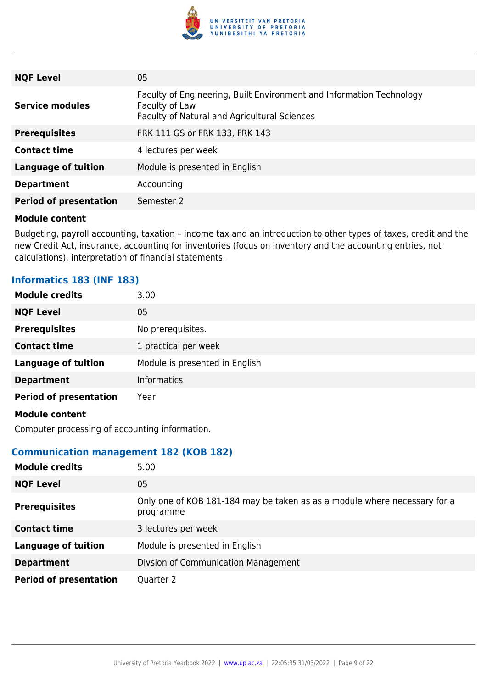

| <b>NQF Level</b>              | 05                                                                                                                                     |
|-------------------------------|----------------------------------------------------------------------------------------------------------------------------------------|
| <b>Service modules</b>        | Faculty of Engineering, Built Environment and Information Technology<br>Faculty of Law<br>Faculty of Natural and Agricultural Sciences |
| <b>Prerequisites</b>          | FRK 111 GS or FRK 133, FRK 143                                                                                                         |
| <b>Contact time</b>           | 4 lectures per week                                                                                                                    |
| <b>Language of tuition</b>    | Module is presented in English                                                                                                         |
| <b>Department</b>             | Accounting                                                                                                                             |
| <b>Period of presentation</b> | Semester 2                                                                                                                             |

Budgeting, payroll accounting, taxation – income tax and an introduction to other types of taxes, credit and the new Credit Act, insurance, accounting for inventories (focus on inventory and the accounting entries, not calculations), interpretation of financial statements.

# **Informatics 183 (INF 183)**

| <b>Module credits</b>         | 3.00                           |
|-------------------------------|--------------------------------|
| <b>NQF Level</b>              | 05                             |
| <b>Prerequisites</b>          | No prerequisites.              |
| <b>Contact time</b>           | 1 practical per week           |
| <b>Language of tuition</b>    | Module is presented in English |
| <b>Department</b>             | <b>Informatics</b>             |
| <b>Period of presentation</b> | Year                           |
| <b>Module content</b>         |                                |

Computer processing of accounting information.

# **Communication management 182 (KOB 182)**

| <b>Module credits</b>         | 5.00                                                                                   |
|-------------------------------|----------------------------------------------------------------------------------------|
| <b>NQF Level</b>              | 05                                                                                     |
| <b>Prerequisites</b>          | Only one of KOB 181-184 may be taken as as a module where necessary for a<br>programme |
| <b>Contact time</b>           | 3 lectures per week                                                                    |
| <b>Language of tuition</b>    | Module is presented in English                                                         |
| <b>Department</b>             | Divsion of Communication Management                                                    |
| <b>Period of presentation</b> | Quarter 2                                                                              |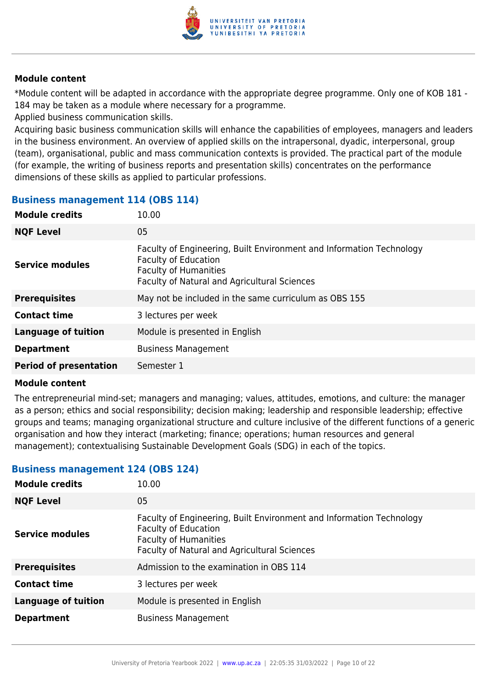

\*Module content will be adapted in accordance with the appropriate degree programme. Only one of KOB 181 - 184 may be taken as a module where necessary for a programme.

Applied business communication skills.

Acquiring basic business communication skills will enhance the capabilities of employees, managers and leaders in the business environment. An overview of applied skills on the intrapersonal, dyadic, interpersonal, group (team), organisational, public and mass communication contexts is provided. The practical part of the module (for example, the writing of business reports and presentation skills) concentrates on the performance dimensions of these skills as applied to particular professions.

# **Business management 114 (OBS 114)**

| <b>Module credits</b>         | 10.00                                                                                                                                                                               |
|-------------------------------|-------------------------------------------------------------------------------------------------------------------------------------------------------------------------------------|
| <b>NQF Level</b>              | 05                                                                                                                                                                                  |
| <b>Service modules</b>        | Faculty of Engineering, Built Environment and Information Technology<br><b>Faculty of Education</b><br><b>Faculty of Humanities</b><br>Faculty of Natural and Agricultural Sciences |
| <b>Prerequisites</b>          | May not be included in the same curriculum as OBS 155                                                                                                                               |
| <b>Contact time</b>           | 3 lectures per week                                                                                                                                                                 |
| <b>Language of tuition</b>    | Module is presented in English                                                                                                                                                      |
| <b>Department</b>             | <b>Business Management</b>                                                                                                                                                          |
| <b>Period of presentation</b> | Semester 1                                                                                                                                                                          |

### **Module content**

The entrepreneurial mind-set; managers and managing; values, attitudes, emotions, and culture: the manager as a person; ethics and social responsibility; decision making; leadership and responsible leadership; effective groups and teams; managing organizational structure and culture inclusive of the different functions of a generic organisation and how they interact (marketing; finance; operations; human resources and general management); contextualising Sustainable Development Goals (SDG) in each of the topics.

# **Business management 124 (OBS 124)**

| <b>Module credits</b>      | 10.00                                                                                                                                                                               |
|----------------------------|-------------------------------------------------------------------------------------------------------------------------------------------------------------------------------------|
| <b>NQF Level</b>           | 05                                                                                                                                                                                  |
| <b>Service modules</b>     | Faculty of Engineering, Built Environment and Information Technology<br><b>Faculty of Education</b><br><b>Faculty of Humanities</b><br>Faculty of Natural and Agricultural Sciences |
| <b>Prerequisites</b>       | Admission to the examination in OBS 114                                                                                                                                             |
| <b>Contact time</b>        | 3 lectures per week                                                                                                                                                                 |
| <b>Language of tuition</b> | Module is presented in English                                                                                                                                                      |
| <b>Department</b>          | <b>Business Management</b>                                                                                                                                                          |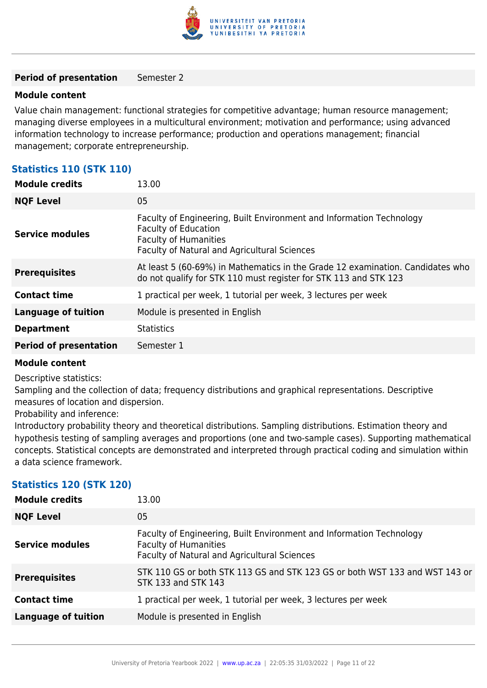

### **Period of presentation** Semester 2

### **Module content**

Value chain management: functional strategies for competitive advantage; human resource management; managing diverse employees in a multicultural environment; motivation and performance; using advanced information technology to increase performance; production and operations management; financial management; corporate entrepreneurship.

# **Statistics 110 (STK 110)**

| <b>Module credits</b>         | 13.00                                                                                                                                                                                      |
|-------------------------------|--------------------------------------------------------------------------------------------------------------------------------------------------------------------------------------------|
| <b>NQF Level</b>              | 05                                                                                                                                                                                         |
| <b>Service modules</b>        | Faculty of Engineering, Built Environment and Information Technology<br><b>Faculty of Education</b><br><b>Faculty of Humanities</b><br><b>Faculty of Natural and Agricultural Sciences</b> |
| <b>Prerequisites</b>          | At least 5 (60-69%) in Mathematics in the Grade 12 examination. Candidates who<br>do not qualify for STK 110 must register for STK 113 and STK 123                                         |
| <b>Contact time</b>           | 1 practical per week, 1 tutorial per week, 3 lectures per week                                                                                                                             |
| <b>Language of tuition</b>    | Module is presented in English                                                                                                                                                             |
| <b>Department</b>             | <b>Statistics</b>                                                                                                                                                                          |
| <b>Period of presentation</b> | Semester 1                                                                                                                                                                                 |

### **Module content**

Descriptive statistics:

Sampling and the collection of data; frequency distributions and graphical representations. Descriptive measures of location and dispersion.

Probability and inference:

Introductory probability theory and theoretical distributions. Sampling distributions. Estimation theory and hypothesis testing of sampling averages and proportions (one and two-sample cases). Supporting mathematical concepts. Statistical concepts are demonstrated and interpreted through practical coding and simulation within a data science framework.

# **Statistics 120 (STK 120)**

| <b>Module credits</b>      | 13.00                                                                                                                                                |
|----------------------------|------------------------------------------------------------------------------------------------------------------------------------------------------|
| <b>NQF Level</b>           | 05                                                                                                                                                   |
| <b>Service modules</b>     | Faculty of Engineering, Built Environment and Information Technology<br><b>Faculty of Humanities</b><br>Faculty of Natural and Agricultural Sciences |
| <b>Prerequisites</b>       | STK 110 GS or both STK 113 GS and STK 123 GS or both WST 133 and WST 143 or<br>STK 133 and STK 143                                                   |
| <b>Contact time</b>        | 1 practical per week, 1 tutorial per week, 3 lectures per week                                                                                       |
| <b>Language of tuition</b> | Module is presented in English                                                                                                                       |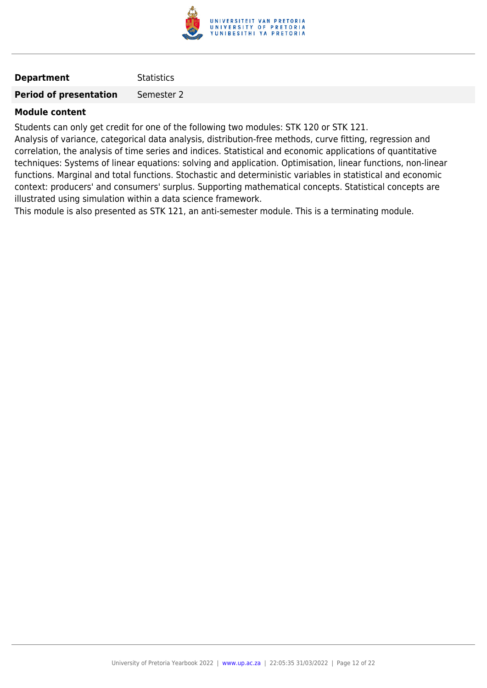

# **Department** Statistics

**Period of presentation** Semester 2

# **Module content**

Students can only get credit for one of the following two modules: STK 120 or STK 121.

Analysis of variance, categorical data analysis, distribution-free methods, curve fitting, regression and correlation, the analysis of time series and indices. Statistical and economic applications of quantitative techniques: Systems of linear equations: solving and application. Optimisation, linear functions, non-linear functions. Marginal and total functions. Stochastic and deterministic variables in statistical and economic context: producers' and consumers' surplus. Supporting mathematical concepts. Statistical concepts are illustrated using simulation within a data science framework.

This module is also presented as STK 121, an anti-semester module. This is a terminating module.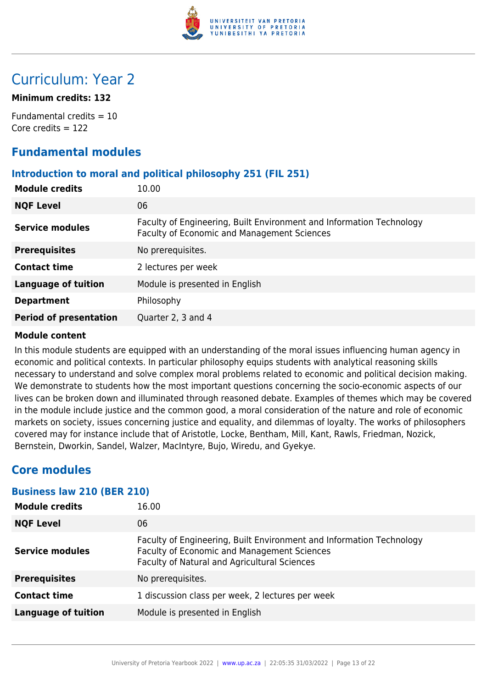

# Curriculum: Year 2

# **Minimum credits: 132**

Fundamental credits = 10 Core credits  $= 122$ 

# **Fundamental modules**

# **Introduction to moral and political philosophy 251 (FIL 251)**

| <b>Module credits</b>         | 10.00                                                                                                                      |
|-------------------------------|----------------------------------------------------------------------------------------------------------------------------|
| <b>NQF Level</b>              | 06                                                                                                                         |
| <b>Service modules</b>        | Faculty of Engineering, Built Environment and Information Technology<br><b>Faculty of Economic and Management Sciences</b> |
| <b>Prerequisites</b>          | No prerequisites.                                                                                                          |
| <b>Contact time</b>           | 2 lectures per week                                                                                                        |
| <b>Language of tuition</b>    | Module is presented in English                                                                                             |
| <b>Department</b>             | Philosophy                                                                                                                 |
| <b>Period of presentation</b> | Quarter 2, 3 and 4                                                                                                         |

# **Module content**

In this module students are equipped with an understanding of the moral issues influencing human agency in economic and political contexts. In particular philosophy equips students with analytical reasoning skills necessary to understand and solve complex moral problems related to economic and political decision making. We demonstrate to students how the most important questions concerning the socio-economic aspects of our lives can be broken down and illuminated through reasoned debate. Examples of themes which may be covered in the module include justice and the common good, a moral consideration of the nature and role of economic markets on society, issues concerning justice and equality, and dilemmas of loyalty. The works of philosophers covered may for instance include that of Aristotle, Locke, Bentham, Mill, Kant, Rawls, Friedman, Nozick, Bernstein, Dworkin, Sandel, Walzer, MacIntyre, Bujo, Wiredu, and Gyekye.

# **Core modules**

# **Business law 210 (BER 210)**

| 16.00                                                                                                                                                               |
|---------------------------------------------------------------------------------------------------------------------------------------------------------------------|
| 06                                                                                                                                                                  |
| Faculty of Engineering, Built Environment and Information Technology<br>Faculty of Economic and Management Sciences<br>Faculty of Natural and Agricultural Sciences |
| No prerequisites.                                                                                                                                                   |
| 1 discussion class per week, 2 lectures per week                                                                                                                    |
| Module is presented in English                                                                                                                                      |
|                                                                                                                                                                     |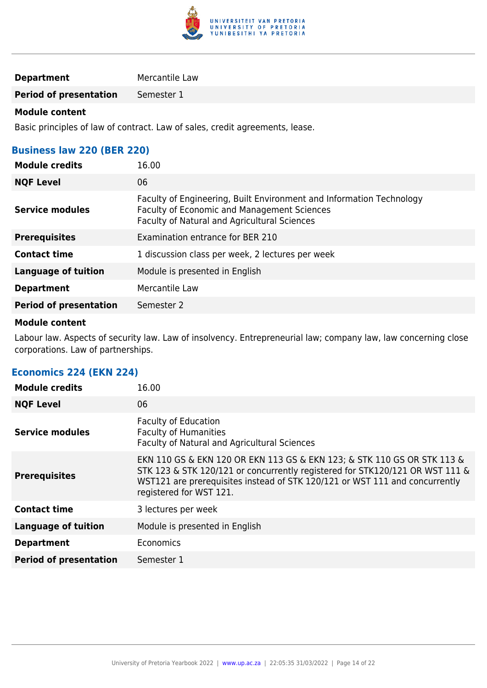

# **Department** Mercantile Law

**Period of presentation** Semester 1

# **Module content**

Basic principles of law of contract. Law of sales, credit agreements, lease.

# **Business law 220 (BER 220)**

| <b>Module credits</b>         | 16.00                                                                                                                                                               |
|-------------------------------|---------------------------------------------------------------------------------------------------------------------------------------------------------------------|
| <b>NQF Level</b>              | 06                                                                                                                                                                  |
| <b>Service modules</b>        | Faculty of Engineering, Built Environment and Information Technology<br>Faculty of Economic and Management Sciences<br>Faculty of Natural and Agricultural Sciences |
| <b>Prerequisites</b>          | Examination entrance for BER 210                                                                                                                                    |
| <b>Contact time</b>           | 1 discussion class per week, 2 lectures per week                                                                                                                    |
| <b>Language of tuition</b>    | Module is presented in English                                                                                                                                      |
| <b>Department</b>             | Mercantile Law                                                                                                                                                      |
| <b>Period of presentation</b> | Semester 2                                                                                                                                                          |

# **Module content**

Labour law. Aspects of security law. Law of insolvency. Entrepreneurial law; company law, law concerning close corporations. Law of partnerships.

# **Economics 224 (EKN 224)**

| <b>Module credits</b>         | 16.00                                                                                                                                                                                                                                                             |
|-------------------------------|-------------------------------------------------------------------------------------------------------------------------------------------------------------------------------------------------------------------------------------------------------------------|
| <b>NQF Level</b>              | 06                                                                                                                                                                                                                                                                |
| <b>Service modules</b>        | <b>Faculty of Education</b><br><b>Faculty of Humanities</b><br>Faculty of Natural and Agricultural Sciences                                                                                                                                                       |
| <b>Prerequisites</b>          | EKN 110 GS & EKN 120 OR EKN 113 GS & EKN 123; & STK 110 GS OR STK 113 &<br>STK 123 & STK 120/121 or concurrently registered for STK120/121 OR WST 111 &<br>WST121 are prerequisites instead of STK 120/121 or WST 111 and concurrently<br>registered for WST 121. |
| <b>Contact time</b>           | 3 lectures per week                                                                                                                                                                                                                                               |
| <b>Language of tuition</b>    | Module is presented in English                                                                                                                                                                                                                                    |
| <b>Department</b>             | Economics                                                                                                                                                                                                                                                         |
| <b>Period of presentation</b> | Semester 1                                                                                                                                                                                                                                                        |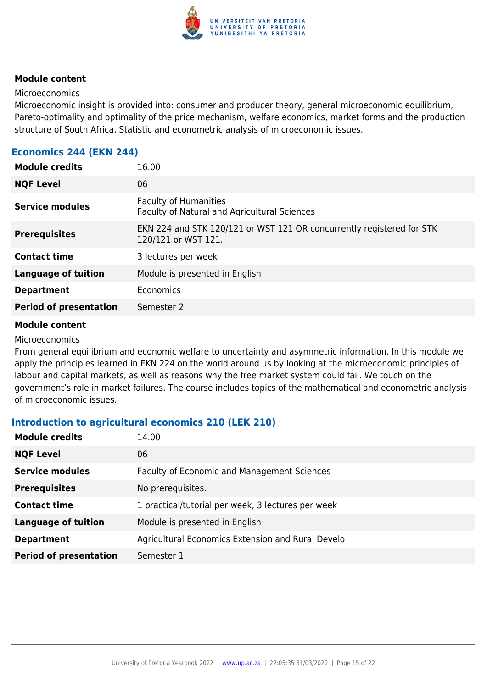

#### Microeconomics

Microeconomic insight is provided into: consumer and producer theory, general microeconomic equilibrium, Pareto-optimality and optimality of the price mechanism, welfare economics, market forms and the production structure of South Africa. Statistic and econometric analysis of microeconomic issues.

# **Economics 244 (EKN 244)**

| <b>Module credits</b>         | 16.00                                                                                        |
|-------------------------------|----------------------------------------------------------------------------------------------|
| <b>NQF Level</b>              | 06                                                                                           |
| <b>Service modules</b>        | <b>Faculty of Humanities</b><br>Faculty of Natural and Agricultural Sciences                 |
| <b>Prerequisites</b>          | EKN 224 and STK 120/121 or WST 121 OR concurrently registered for STK<br>120/121 or WST 121. |
| <b>Contact time</b>           | 3 lectures per week                                                                          |
| <b>Language of tuition</b>    | Module is presented in English                                                               |
| <b>Department</b>             | Economics                                                                                    |
| <b>Period of presentation</b> | Semester 2                                                                                   |
|                               |                                                                                              |

### **Module content**

#### Microeconomics

From general equilibrium and economic welfare to uncertainty and asymmetric information. In this module we apply the principles learned in EKN 224 on the world around us by looking at the microeconomic principles of labour and capital markets, as well as reasons why the free market system could fail. We touch on the government's role in market failures. The course includes topics of the mathematical and econometric analysis of microeconomic issues.

# **Introduction to agricultural economics 210 (LEK 210)**

| <b>Module credits</b>         | 14.00                                              |
|-------------------------------|----------------------------------------------------|
| <b>NQF Level</b>              | 06                                                 |
| <b>Service modules</b>        | Faculty of Economic and Management Sciences        |
| <b>Prerequisites</b>          | No prerequisites.                                  |
| <b>Contact time</b>           | 1 practical/tutorial per week, 3 lectures per week |
| <b>Language of tuition</b>    | Module is presented in English                     |
| <b>Department</b>             | Agricultural Economics Extension and Rural Develo  |
| <b>Period of presentation</b> | Semester 1                                         |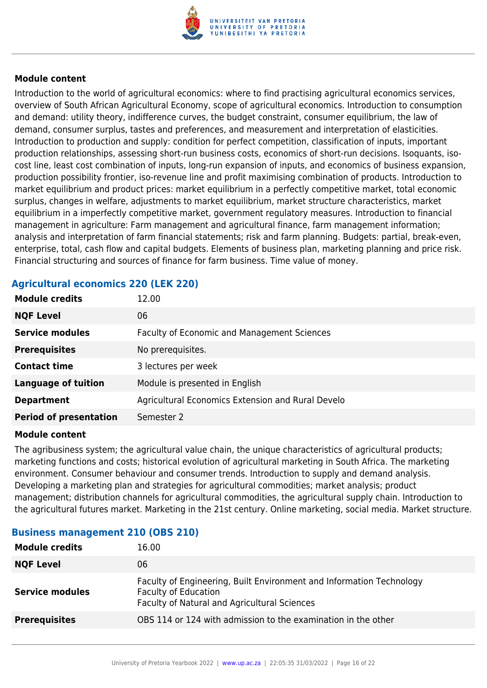

Introduction to the world of agricultural economics: where to find practising agricultural economics services, overview of South African Agricultural Economy, scope of agricultural economics. Introduction to consumption and demand: utility theory, indifference curves, the budget constraint, consumer equilibrium, the law of demand, consumer surplus, tastes and preferences, and measurement and interpretation of elasticities. Introduction to production and supply: condition for perfect competition, classification of inputs, important production relationships, assessing short-run business costs, economics of short-run decisions. Isoquants, isocost line, least cost combination of inputs, long-run expansion of inputs, and economics of business expansion, production possibility frontier, iso-revenue line and profit maximising combination of products. Introduction to market equilibrium and product prices: market equilibrium in a perfectly competitive market, total economic surplus, changes in welfare, adjustments to market equilibrium, market structure characteristics, market equilibrium in a imperfectly competitive market, government regulatory measures. Introduction to financial management in agriculture: Farm management and agricultural finance, farm management information; analysis and interpretation of farm financial statements; risk and farm planning. Budgets: partial, break-even, enterprise, total, cash flow and capital budgets. Elements of business plan, marketing planning and price risk. Financial structuring and sources of finance for farm business. Time value of money.

# **Module credits** 12.00 **NQF Level** 06 **Service modules** Faculty of Economic and Management Sciences **Prerequisites** No prerequisites. **Contact time** 3 lectures per week **Language of tuition** Module is presented in English **Department** Agricultural Economics Extension and Rural Develo **Period of presentation** Semester 2

# **Agricultural economics 220 (LEK 220)**

### **Module content**

The agribusiness system; the agricultural value chain, the unique characteristics of agricultural products; marketing functions and costs; historical evolution of agricultural marketing in South Africa. The marketing environment. Consumer behaviour and consumer trends. Introduction to supply and demand analysis. Developing a marketing plan and strategies for agricultural commodities; market analysis; product management; distribution channels for agricultural commodities, the agricultural supply chain. Introduction to the agricultural futures market. Marketing in the 21st century. Online marketing, social media. Market structure.

# **Business management 210 (OBS 210)**

| <b>Module credits</b>  | 16.00                                                                                                                                               |
|------------------------|-----------------------------------------------------------------------------------------------------------------------------------------------------|
| <b>NQF Level</b>       | 06                                                                                                                                                  |
| <b>Service modules</b> | Faculty of Engineering, Built Environment and Information Technology<br><b>Faculty of Education</b><br>Faculty of Natural and Agricultural Sciences |
| <b>Prerequisites</b>   | OBS 114 or 124 with admission to the examination in the other                                                                                       |
|                        |                                                                                                                                                     |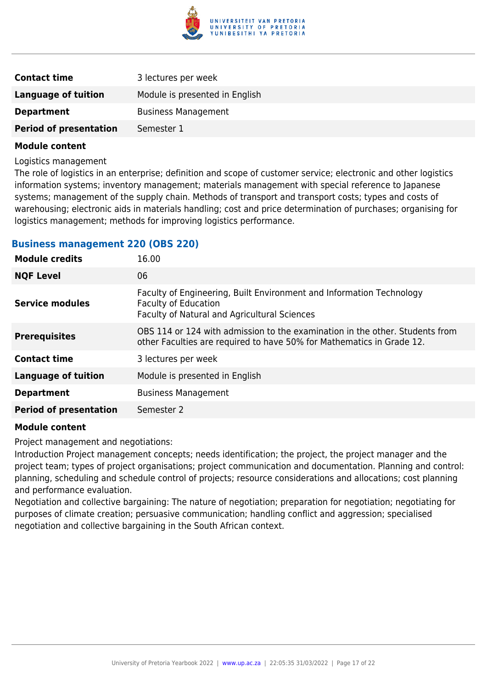

| <b>Contact time</b>           | 3 lectures per week            |
|-------------------------------|--------------------------------|
| Language of tuition           | Module is presented in English |
| <b>Department</b>             | <b>Business Management</b>     |
| <b>Period of presentation</b> | Semester 1                     |

Logistics management

The role of logistics in an enterprise; definition and scope of customer service; electronic and other logistics information systems; inventory management; materials management with special reference to Japanese systems; management of the supply chain. Methods of transport and transport costs; types and costs of warehousing; electronic aids in materials handling; cost and price determination of purchases; organising for logistics management; methods for improving logistics performance.

### **Business management 220 (OBS 220)**

| <b>Module credits</b>         | 16.00                                                                                                                                                      |
|-------------------------------|------------------------------------------------------------------------------------------------------------------------------------------------------------|
| <b>NQF Level</b>              | 06                                                                                                                                                         |
| Service modules               | Faculty of Engineering, Built Environment and Information Technology<br><b>Faculty of Education</b><br><b>Faculty of Natural and Agricultural Sciences</b> |
| <b>Prerequisites</b>          | OBS 114 or 124 with admission to the examination in the other. Students from<br>other Faculties are required to have 50% for Mathematics in Grade 12.      |
| <b>Contact time</b>           | 3 lectures per week                                                                                                                                        |
| <b>Language of tuition</b>    | Module is presented in English                                                                                                                             |
| <b>Department</b>             | <b>Business Management</b>                                                                                                                                 |
| <b>Period of presentation</b> | Semester 2                                                                                                                                                 |
|                               |                                                                                                                                                            |

#### **Module content**

Project management and negotiations:

Introduction Project management concepts; needs identification; the project, the project manager and the project team; types of project organisations; project communication and documentation. Planning and control: planning, scheduling and schedule control of projects; resource considerations and allocations; cost planning and performance evaluation.

Negotiation and collective bargaining: The nature of negotiation; preparation for negotiation; negotiating for purposes of climate creation; persuasive communication; handling conflict and aggression; specialised negotiation and collective bargaining in the South African context.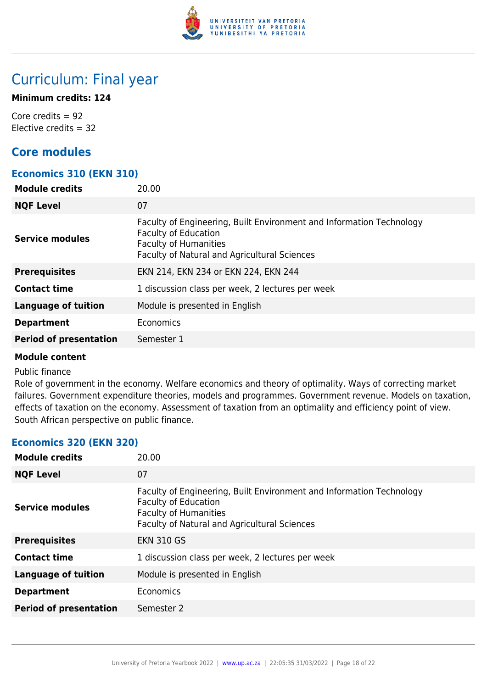

# Curriculum: Final year

# **Minimum credits: 124**

Core credits = 92 Elective credits  $= 32$ 

# **Core modules**

# **Economics 310 (EKN 310)**

| <b>Module credits</b>         | 20.00                                                                                                                                                                                      |
|-------------------------------|--------------------------------------------------------------------------------------------------------------------------------------------------------------------------------------------|
| <b>NQF Level</b>              | 07                                                                                                                                                                                         |
| <b>Service modules</b>        | Faculty of Engineering, Built Environment and Information Technology<br><b>Faculty of Education</b><br><b>Faculty of Humanities</b><br><b>Faculty of Natural and Agricultural Sciences</b> |
| <b>Prerequisites</b>          | EKN 214, EKN 234 or EKN 224, EKN 244                                                                                                                                                       |
| <b>Contact time</b>           | 1 discussion class per week, 2 lectures per week                                                                                                                                           |
| <b>Language of tuition</b>    | Module is presented in English                                                                                                                                                             |
| <b>Department</b>             | Economics                                                                                                                                                                                  |
| <b>Period of presentation</b> | Semester 1                                                                                                                                                                                 |

### **Module content**

### Public finance

Role of government in the economy. Welfare economics and theory of optimality. Ways of correcting market failures. Government expenditure theories, models and programmes. Government revenue. Models on taxation, effects of taxation on the economy. Assessment of taxation from an optimality and efficiency point of view. South African perspective on public finance.

# **Economics 320 (EKN 320)**

| <b>Module credits</b>         | 20.00                                                                                                                                                                                      |
|-------------------------------|--------------------------------------------------------------------------------------------------------------------------------------------------------------------------------------------|
| <b>NQF Level</b>              | 07                                                                                                                                                                                         |
| <b>Service modules</b>        | Faculty of Engineering, Built Environment and Information Technology<br><b>Faculty of Education</b><br><b>Faculty of Humanities</b><br><b>Faculty of Natural and Agricultural Sciences</b> |
| <b>Prerequisites</b>          | <b>EKN 310 GS</b>                                                                                                                                                                          |
| <b>Contact time</b>           | 1 discussion class per week, 2 lectures per week                                                                                                                                           |
| <b>Language of tuition</b>    | Module is presented in English                                                                                                                                                             |
| <b>Department</b>             | Economics                                                                                                                                                                                  |
| <b>Period of presentation</b> | Semester 2                                                                                                                                                                                 |
|                               |                                                                                                                                                                                            |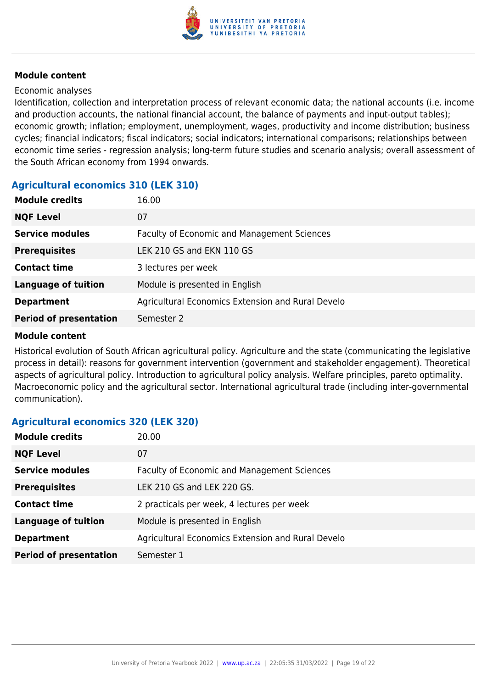

#### Economic analyses

Identification, collection and interpretation process of relevant economic data; the national accounts (i.e. income and production accounts, the national financial account, the balance of payments and input-output tables); economic growth; inflation; employment, unemployment, wages, productivity and income distribution; business cycles; financial indicators; fiscal indicators; social indicators; international comparisons; relationships between economic time series - regression analysis; long-term future studies and scenario analysis; overall assessment of the South African economy from 1994 onwards.

# **Agricultural economics 310 (LEK 310)**

| <b>Module credits</b>         | 16.00                                              |
|-------------------------------|----------------------------------------------------|
| <b>NQF Level</b>              | 07                                                 |
| <b>Service modules</b>        | <b>Faculty of Economic and Management Sciences</b> |
| <b>Prerequisites</b>          | LEK 210 GS and EKN 110 GS                          |
| <b>Contact time</b>           | 3 lectures per week                                |
| <b>Language of tuition</b>    | Module is presented in English                     |
| <b>Department</b>             | Agricultural Economics Extension and Rural Develo  |
| <b>Period of presentation</b> | Semester 2                                         |

### **Module content**

Historical evolution of South African agricultural policy. Agriculture and the state (communicating the legislative process in detail): reasons for government intervention (government and stakeholder engagement). Theoretical aspects of agricultural policy. Introduction to agricultural policy analysis. Welfare principles, pareto optimality. Macroeconomic policy and the agricultural sector. International agricultural trade (including inter-governmental communication).

# **Agricultural economics 320 (LEK 320)**

| <b>Module credits</b>         | 20.00                                              |
|-------------------------------|----------------------------------------------------|
| <b>NQF Level</b>              | 07                                                 |
| <b>Service modules</b>        | <b>Faculty of Economic and Management Sciences</b> |
| <b>Prerequisites</b>          | LEK 210 GS and LEK 220 GS.                         |
| <b>Contact time</b>           | 2 practicals per week, 4 lectures per week         |
| <b>Language of tuition</b>    | Module is presented in English                     |
| <b>Department</b>             | Agricultural Economics Extension and Rural Develo  |
| <b>Period of presentation</b> | Semester 1                                         |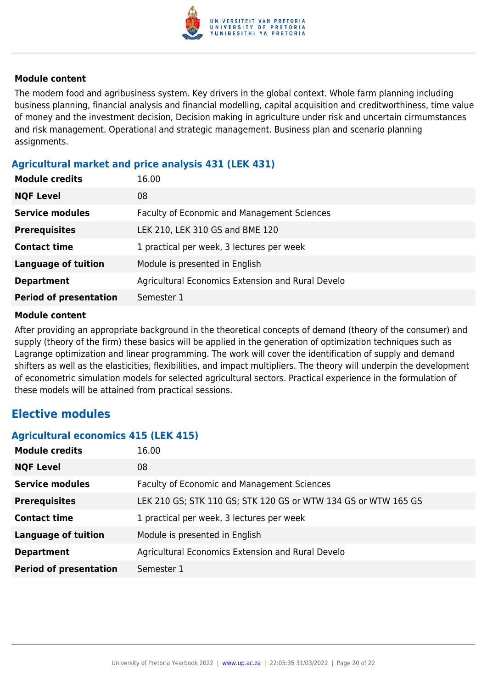

The modern food and agribusiness system. Key drivers in the global context. Whole farm planning including business planning, financial analysis and financial modelling, capital acquisition and creditworthiness, time value of money and the investment decision, Decision making in agriculture under risk and uncertain cirmumstances and risk management. Operational and strategic management. Business plan and scenario planning assignments.

# **Agricultural market and price analysis 431 (LEK 431)**

| <b>Module credits</b>         | 16.00                                              |
|-------------------------------|----------------------------------------------------|
| <b>NQF Level</b>              | 08                                                 |
| <b>Service modules</b>        | <b>Faculty of Economic and Management Sciences</b> |
| <b>Prerequisites</b>          | LEK 210, LEK 310 GS and BME 120                    |
| <b>Contact time</b>           | 1 practical per week, 3 lectures per week          |
| <b>Language of tuition</b>    | Module is presented in English                     |
| <b>Department</b>             | Agricultural Economics Extension and Rural Develo  |
| <b>Period of presentation</b> | Semester 1                                         |

### **Module content**

After providing an appropriate background in the theoretical concepts of demand (theory of the consumer) and supply (theory of the firm) these basics will be applied in the generation of optimization techniques such as Lagrange optimization and linear programming. The work will cover the identification of supply and demand shifters as well as the elasticities, flexibilities, and impact multipliers. The theory will underpin the development of econometric simulation models for selected agricultural sectors. Practical experience in the formulation of these models will be attained from practical sessions.

# **Elective modules**

### **Agricultural economics 415 (LEK 415)**

| <b>Module credits</b>         | 16.00                                                          |
|-------------------------------|----------------------------------------------------------------|
| <b>NQF Level</b>              | 08                                                             |
| <b>Service modules</b>        | <b>Faculty of Economic and Management Sciences</b>             |
| <b>Prerequisites</b>          | LEK 210 GS; STK 110 GS; STK 120 GS or WTW 134 GS or WTW 165 GS |
| <b>Contact time</b>           | 1 practical per week, 3 lectures per week                      |
| <b>Language of tuition</b>    | Module is presented in English                                 |
| <b>Department</b>             | Agricultural Economics Extension and Rural Develo              |
| <b>Period of presentation</b> | Semester 1                                                     |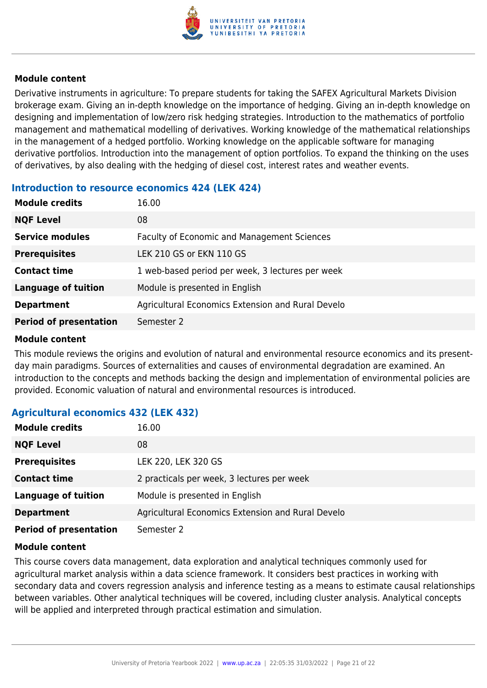

Derivative instruments in agriculture: To prepare students for taking the SAFEX Agricultural Markets Division brokerage exam. Giving an in-depth knowledge on the importance of hedging. Giving an in-depth knowledge on designing and implementation of low/zero risk hedging strategies. Introduction to the mathematics of portfolio management and mathematical modelling of derivatives. Working knowledge of the mathematical relationships in the management of a hedged portfolio. Working knowledge on the applicable software for managing derivative portfolios. Introduction into the management of option portfolios. To expand the thinking on the uses of derivatives, by also dealing with the hedging of diesel cost, interest rates and weather events.

# **Introduction to resource economics 424 (LEK 424)**

| <b>Module credits</b>         | 16.00                                              |
|-------------------------------|----------------------------------------------------|
| <b>NQF Level</b>              | 08                                                 |
| <b>Service modules</b>        | <b>Faculty of Economic and Management Sciences</b> |
| <b>Prerequisites</b>          | LEK 210 GS or EKN 110 GS                           |
| <b>Contact time</b>           | 1 web-based period per week, 3 lectures per week   |
| <b>Language of tuition</b>    | Module is presented in English                     |
| <b>Department</b>             | Agricultural Economics Extension and Rural Develo  |
| <b>Period of presentation</b> | Semester 2                                         |

### **Module content**

This module reviews the origins and evolution of natural and environmental resource economics and its presentday main paradigms. Sources of externalities and causes of environmental degradation are examined. An introduction to the concepts and methods backing the design and implementation of environmental policies are provided. Economic valuation of natural and environmental resources is introduced.

# **Agricultural economics 432 (LEK 432)**

| <b>Module credits</b>         | 16.00                                             |
|-------------------------------|---------------------------------------------------|
| <b>NQF Level</b>              | 08                                                |
| <b>Prerequisites</b>          | LEK 220, LEK 320 GS                               |
| <b>Contact time</b>           | 2 practicals per week, 3 lectures per week        |
| <b>Language of tuition</b>    | Module is presented in English                    |
| <b>Department</b>             | Agricultural Economics Extension and Rural Develo |
| <b>Period of presentation</b> | Semester 2                                        |

### **Module content**

This course covers data management, data exploration and analytical techniques commonly used for agricultural market analysis within a data science framework. It considers best practices in working with secondary data and covers regression analysis and inference testing as a means to estimate causal relationships between variables. Other analytical techniques will be covered, including cluster analysis. Analytical concepts will be applied and interpreted through practical estimation and simulation.